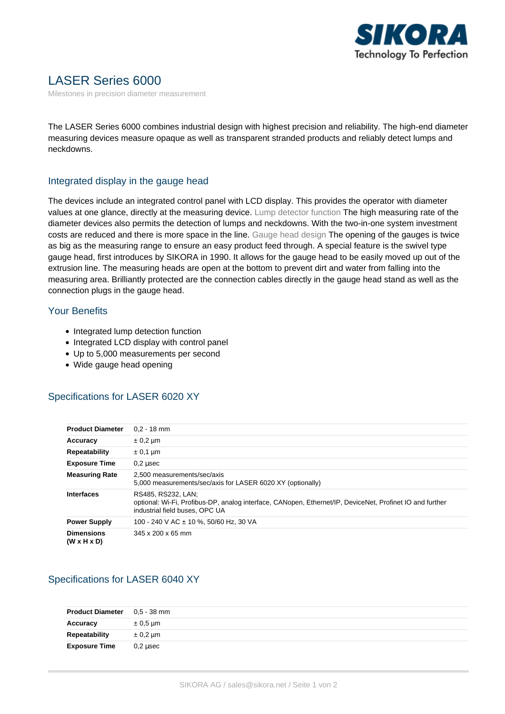

# LASER Series 6000

Milestones in precision diameter measurement

The LASER Series 6000 combines industrial design with highest precision and reliability. The high-end diameter measuring devices measure opaque as well as transparent stranded products and reliably detect lumps and neckdowns.

#### Integrated display in the gauge head

The devices include an integrated control panel with LCD display. This provides the operator with diameter values at one glance, directly at the measuring device. Lump detector function The high measuring rate of the diameter devices also permits the detection of lumps and neckdowns. With the two-in-one system investment costs are reduced and there is more space in the line. Gauge head design The opening of the gauges is twice as big as the measuring range to ensure an easy product feed through. A special feature is the swivel type gauge head, first introduces by SIKORA in 1990. It allows for the gauge head to be easily moved up out of the extrusion line. The measuring heads are open at the bottom to prevent dirt and water from falling into the measuring area. Brilliantly protected are the connection cables directly in the gauge head stand as well as the connection plugs in the gauge head.

#### Your Benefits

- Integrated lump detection function
- Integrated LCD display with control panel
- Up to 5,000 measurements per second
- Wide gauge head opening

#### Specifications for LASER 6020 XY

| <b>Product Diameter</b>                      | $0.2 - 18$ mm                                                                                                                                                    |
|----------------------------------------------|------------------------------------------------------------------------------------------------------------------------------------------------------------------|
| Accuracy                                     | $\pm$ 0.2 µm                                                                                                                                                     |
| <b>Repeatability</b>                         | $\pm$ 0.1 µm                                                                                                                                                     |
| <b>Exposure Time</b>                         | $0.2$ usec                                                                                                                                                       |
| <b>Measuring Rate</b>                        | 2.500 measurements/sec/axis<br>5,000 measurements/sec/axis for LASER 6020 XY (optionally)                                                                        |
| <b>Interfaces</b>                            | RS485, RS232, LAN:<br>optional: Wi-Fi, Profibus-DP, analog interface, CANopen, Ethernet/IP, DeviceNet, Profinet IO and further<br>industrial field buses, OPC UA |
| <b>Power Supply</b>                          | 100 - 240 V AC ± 10 %, 50/60 Hz, 30 VA                                                                                                                           |
| <b>Dimensions</b><br>$(W \times H \times D)$ | $345 \times 200 \times 65$ mm                                                                                                                                    |

## Specifications for LASER 6040 XY

| <b>Product Diameter</b> | 0.5 - 38 mm  |
|-------------------------|--------------|
| Accuracy                | $\pm 0.5$ µm |
| Repeatability           | $\pm$ 0.2 µm |
| <b>Exposure Time</b>    | $0.2$ usec   |